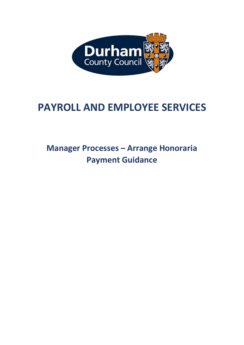

# **PAYROLL AND EMPLOYEE SERVICES**

## **Manager Processes – Arrange Honoraria Payment Guidance**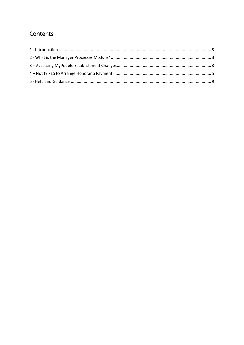## Contents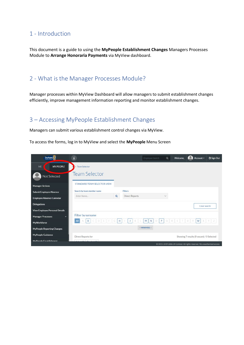#### <span id="page-2-0"></span>1 - Introduction

This document is a guide to using the **MyPeople Establishment Changes** Managers Processes Module to **Arrange Honoraria Payments** via MyView dashboard.

#### <span id="page-2-1"></span>2 - What is the Manager Processes Module?

Manager processes within MyView Dashboard will allow managers to submit establishment changes efficiently, improve management information reporting and monitor establishment changes.

#### <span id="page-2-2"></span>3 – Accessing MyPeople Establishment Changes

Managers can submit various establishment control changes via MyView.

To access the forms, log in to MyView and select the **MyPeople** Menu Screen

| Durham                                | i                           |          |                       | Employee Search          | $\mathsf Q$ | Welcome, | Account $\vee$                                                              | <b><i>O</i></b> Sign Out |
|---------------------------------------|-----------------------------|----------|-----------------------|--------------------------|-------------|----------|-----------------------------------------------------------------------------|--------------------------|
| ME<br><b>MY PEOPLE</b>                | <b>Team Selector</b>        |          |                       |                          |             |          |                                                                             |                          |
| Not Selected                          | <b>Team Selector</b>        |          |                       |                          |             |          |                                                                             |                          |
| <b>Manager Actions</b>                | STANDARD TEAM SELECTOR VIEW |          |                       |                          |             |          |                                                                             |                          |
| <b>Submit Employee Absence</b>        | Search by team member name  |          | <b>Filters</b>        |                          |             |          |                                                                             |                          |
| <b>Employee Absence Calendar</b>      | Enter Name                  | $\alpha$ | <b>Direct Reports</b> |                          | $\sim$      |          |                                                                             |                          |
| <b>Delegations</b>                    |                             |          |                       |                          |             |          | Clear search                                                                |                          |
| <b>View Employee Personal Details</b> |                             |          |                       |                          |             |          |                                                                             |                          |
| <b>Manager Processes</b><br>$\ddot{}$ | Filter by surname           |          |                       |                          |             |          |                                                                             |                          |
| MyWorkforce                           | B<br>D<br>All               | H        |                       | M<br>N<br>O              | P           | D.       | W<br>37                                                                     |                          |
| <b>MyPeople Reporting Changes</b>     |                             |          |                       | $\land$ MINIMISE $\land$ |             |          |                                                                             |                          |
| <b>MyPeople Guidance</b>              | Direct Reports for          |          |                       |                          |             |          | Showing 7 results (0 vacant) / 0 Selected                                   |                          |
| MuPennle Fstahlishment                |                             |          |                       |                          |             |          |                                                                             |                          |
|                                       |                             |          |                       |                          |             |          | © 2011-2019 Zellis UK Limited. All rights reserved. No unauthorised access. |                          |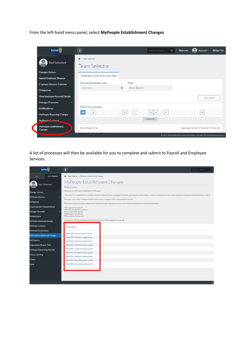From the left-hand menu panel, select **MyPeople Establishment Changes**

| Durham                                   | i                                                |          |                       | Employee Search          | $\alpha$     | Welcome, | Account ~                                                                   | <b>O</b> Sign Out |
|------------------------------------------|--------------------------------------------------|----------|-----------------------|--------------------------|--------------|----------|-----------------------------------------------------------------------------|-------------------|
| <b>Not Selected</b>                      | <b>N</b> > Team Selector<br><b>Team Selector</b> |          |                       |                          |              |          |                                                                             |                   |
| <b>Manager Actions</b>                   |                                                  |          |                       |                          |              |          |                                                                             |                   |
| <b>Submit Employee Absence</b>           | STANDARD TEAM SELECTOR VIEW                      |          |                       |                          |              |          |                                                                             |                   |
| <b>Employee Absence Calendar</b>         | Search by team member name                       |          | <b>Filters</b>        |                          |              |          |                                                                             |                   |
| <b>Delegations</b>                       | Enter Name                                       | $\alpha$ | <b>Direct Reports</b> |                          | $\checkmark$ |          |                                                                             |                   |
| <b>View Employee Personal Details</b>    |                                                  |          |                       |                          |              |          | Clear search                                                                |                   |
| <b>Manager Processes</b><br>$\checkmark$ |                                                  |          |                       |                          |              |          |                                                                             |                   |
| MyWorkforce                              | Filter by surname                                |          |                       |                          |              |          |                                                                             |                   |
| <b>MyPeople Reporting Changes</b>        | B<br>All                                         | н        |                       | P.<br>M<br>N<br>$\Omega$ | O R          |          | W                                                                           |                   |
| My Pennis Cuidance                       |                                                  |          |                       | $\land$ MINIMISE $\land$ |              |          |                                                                             |                   |
| MyPeople Establishment<br><b>Changes</b> | Direct Reports for                               |          |                       |                          |              |          | Showing 7 results (0 vacant) / 0 Selected                                   |                   |
|                                          |                                                  |          |                       |                          |              |          | @ 2011-2019 Zellis UK Limited. All rights reserved. No unauthorised access. |                   |

A list of processes will then be available for you to complete and submit to Payroll and Employee Services.

| Durham                                |                     | $\mathbf{i}$                                                                                                                                                                                    | Employee Search | $\alpha$       |
|---------------------------------------|---------------------|-------------------------------------------------------------------------------------------------------------------------------------------------------------------------------------------------|-----------------|----------------|
| ME                                    | <b>MY PEOPLE</b>    | <b>W</b> > Team Selector > MyPeople Establishment Changes                                                                                                                                       |                 |                |
|                                       | <b>Not Selected</b> | MyPeople Establishment Changes                                                                                                                                                                  |                 |                |
|                                       |                     | MyView Guidance                                                                                                                                                                                 |                 |                |
| <b>Manager Actions</b>                |                     | Welcome to MyPeople Establishment Changes!                                                                                                                                                      |                 |                |
| MyPeople Absence                      |                     | The Council is committed to providing value for money through managing its people and resources effectively. In order to achieve this, the Council operates a process of Establishment Control. |                 |                |
|                                       |                     | Managers can submit various establishment control changes via the relevant forms below.                                                                                                         |                 |                |
| <b>Delegations</b>                    |                     | Should you have any issues, please email the Payroll and Employee Services (PES) Team according to service grouping below:                                                                      |                 |                |
| <b>View Employee Personal Details</b> |                     | PESreg@durham.gov.uk                                                                                                                                                                            |                 |                |
| <b>Manager Processes</b>              | ٠                   | PESresources@durham.gov.uk<br>PESncc@durham.gov.uk                                                                                                                                              |                 |                |
| <b>MyWorkforce</b>                    |                     | PESahs@durham.gov.uk<br>PEScyps@durham.gov.uk                                                                                                                                                   |                 |                |
| <b>MyPeople Reporting Changes</b>     |                     | Any generic MyView enquiries should be directed to MyView@durham.gov.uk.                                                                                                                        |                 |                |
| MyPeople Guidance                     |                     | Processes                                                                                                                                                                                       |                 |                |
| MyPeople Form History                 |                     |                                                                                                                                                                                                 |                 |                |
| <b>MyPeople Establishment Changes</b> |                     | Notify PES of a leaver from the Council                                                                                                                                                         |                 |                |
| <b>RRS Reports</b>                    |                     | Notify PES - Permanent change of hours<br>Notify PES - Temporary change of hours                                                                                                                |                 |                |
| <b>Organisation Module TEST</b>       |                     | Notify PES - Extend a temporary contract                                                                                                                                                        |                 |                |
| <b>MyPeople Onboarding Checklist</b>  |                     | Notify PES - Arrange honoraria payment                                                                                                                                                          |                 |                |
|                                       |                     | Notify PES - Permanent change of grade                                                                                                                                                          |                 |                |
| Totara e-learning                     |                     | Notify PES - Temporary change of grade                                                                                                                                                          |                 |                |
| Cohort                                |                     | Notify PES - Perm change weeks worked                                                                                                                                                           |                 |                |
| ebulk                                 |                     | Notify PES - Temp change weeks worked                                                                                                                                                           |                 |                |
|                                       |                     |                                                                                                                                                                                                 |                 |                |
|                                       |                     |                                                                                                                                                                                                 |                 |                |
|                                       |                     |                                                                                                                                                                                                 |                 |                |
|                                       |                     |                                                                                                                                                                                                 |                 |                |
|                                       |                     |                                                                                                                                                                                                 |                 | O <sub>2</sub> |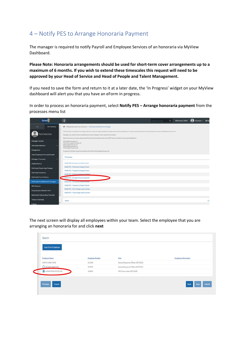### <span id="page-4-0"></span>4 – Notify PES to Arrange Honoraria Payment

The manager is required to notify Payroll and Employee Services of an honoraria via MyView Dashboard.

**Please Note: Honoraria arrangements should be used for short-term cover arrangements up to a maximum of 6 months. If you wish to extend these timescales this request will need to be approved by your Head of Service and Head of People and Talent Management.**

If you need to save the form and return to it at a later date, the 'In Progress' widget on your MyView dashboard will alert you that you have an eForm in progress.

In order to process an honoraria payment, select **Notify PES – Arrange honoraria payment** from the processes menu list



The next screen will display all employees within your team. Select the employee that you are arranging an honoraria for and click **next**

| <b>Employee Name</b>    | <b>Employee Number</b> | Post                              | <b>Employee Information</b> |
|-------------------------|------------------------|-----------------------------------|-----------------------------|
| SMITH CARLY MISS        | 651506                 | Human Resources Officer (0075233) |                             |
| <b>O ADAMS JENNY MS</b> | 923509                 | Human Resources Officer (0075231) |                             |
| O JOHNSTONE PETER MR    | 102836                 | PES Team Leader (0075228)         |                             |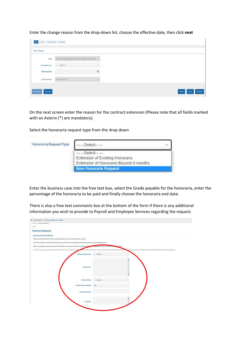Enter the change reason from the drop-down list, choose the effective date, then click **next**

| <b>Post Holding</b> |                                                   |                |  |
|---------------------|---------------------------------------------------|----------------|--|
| Post                | Payroll and Employee Services Officer (0075255) ~ |                |  |
| -Change Reason      | $--$ Select $--$                                  | $\sim$         |  |
| -Effective Date     |                                                   | $\mathfrak{m}$ |  |
| -Contract Type      | Full Time (FT)                                    | $\mathcal{A}$  |  |

On the next screen enter the reason for the contract extension (Please note that all fields marked with an Asterix (\*) are mandatory).

Select the honoraria request type from the drop down

| 'Honoraria Request Type | $-Select-$                                                                                     |  |
|-------------------------|------------------------------------------------------------------------------------------------|--|
|                         | $--$ Select- $--$<br>Extension of Existing Honoraria<br>Extension of Honoraria Beyond 6 months |  |
|                         | <b>New Honoraria Request</b>                                                                   |  |

Enter the business case into the free text box, select the Grade payable for the honoraria, enter the percentage of the honoraria to be paid and finally choose the honoraria end date.

There is also a free text comments box at the bottom of the form if there is any additional information you wish to provide to Payroll and Employee Services regarding the request.

| # > Team Selector > MyPeople Establishment Changes                                                                                          |                                                                                                                                                                                                                                |
|---------------------------------------------------------------------------------------------------------------------------------------------|--------------------------------------------------------------------------------------------------------------------------------------------------------------------------------------------------------------------------------|
| entaries. Increases was respect-                                                                                                            |                                                                                                                                                                                                                                |
| 10f1                                                                                                                                        |                                                                                                                                                                                                                                |
|                                                                                                                                             |                                                                                                                                                                                                                                |
| <b>Honoraria Request</b>                                                                                                                    |                                                                                                                                                                                                                                |
| Honoraria Payment Details                                                                                                                   |                                                                                                                                                                                                                                |
| Please provide detailed letormation on the background of your request and why it is required.                                               |                                                                                                                                                                                                                                |
| Honoraría arrangements should not last beyond 6 months therefore consideration should always be given to advertising the post.              |                                                                                                                                                                                                                                |
| Where an employee is only covering some of the duties of a post, advice should be sought from Day and companyee Services in relation to the | da rate.                                                                                                                                                                                                                       |
|                                                                                                                                             | Honoraría arrangements should be used for short-term cover arrangements up in museums of 6 months. If you wish to extend these timescales this request will me and your Head of Service and Head of People and Talent Manageme |
| + Honorarla Request Type                                                                                                                    | $--Sated--$<br>s)                                                                                                                                                                                                              |
|                                                                                                                                             |                                                                                                                                                                                                                                |
|                                                                                                                                             |                                                                                                                                                                                                                                |
|                                                                                                                                             |                                                                                                                                                                                                                                |
| -Business Case                                                                                                                              |                                                                                                                                                                                                                                |
|                                                                                                                                             |                                                                                                                                                                                                                                |
|                                                                                                                                             |                                                                                                                                                                                                                                |
| +Nonos aria Grade                                                                                                                           | $--Sated--$                                                                                                                                                                                                                    |
|                                                                                                                                             |                                                                                                                                                                                                                                |
| -Percent Honoraria Paid (N)                                                                                                                 | 100                                                                                                                                                                                                                            |
|                                                                                                                                             |                                                                                                                                                                                                                                |
| +Honorarla End Date                                                                                                                         |                                                                                                                                                                                                                                |
|                                                                                                                                             |                                                                                                                                                                                                                                |
|                                                                                                                                             |                                                                                                                                                                                                                                |
| Comments                                                                                                                                    |                                                                                                                                                                                                                                |
|                                                                                                                                             |                                                                                                                                                                                                                                |
|                                                                                                                                             |                                                                                                                                                                                                                                |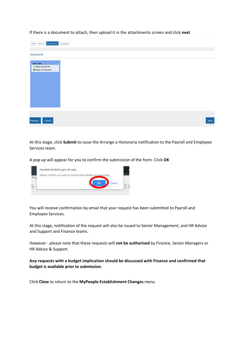If there is a document to attach, then upload it in the attachments screen and click **next**

| $Post$ - eForm - Attachments - Complete                                 |                    |
|-------------------------------------------------------------------------|--------------------|
|                                                                         | <b>Attachments</b> |
| <b>Store Tasks</b><br>** Refresh document list<br>Upload a new document |                    |
| Next<br>Cancel                                                          | Previous           |

At this stage, click **Submit** to issue the Arrange a Honoraria notification to the Payroll and Employee Services team.

A pop up will appear for you to confirm the submission of the form. Click **OK**



You will receive confirmation by email that your request has been submitted to Payroll and Employee Services.

At this stage, notification of the request will also be issued to Senior Management, and HR Advice and Support and Finance teams.

However - please note that these requests will **not be authorised** by Finance, Senior Managers or HR Advice & Support.

**Any requests with a budget implication should be discussed with Finance and confirmed that budget is available prior to submission.**

Click **Close** to return to the **MyPeople Establishment Changes** menu.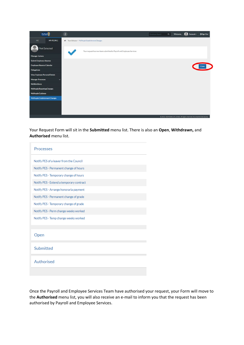

Your Request Form will sit in the **Submitted** menu list. There is also an **Open**, **Withdrawn,** and **Authorised** menu list.

| <b>Processes</b>                         |
|------------------------------------------|
| Notify PES of a leaver from the Council  |
| Notify PES - Permanent change of hours   |
| Notify PES - Temporary change of hours   |
| Notify PES - Extend a temporary contract |
| Notify PES - Arrange honoraria payment   |
| Notify PES - Permanent change of grade   |
| Notify PES - Temporary change of grade   |
| Notify PES - Perm change weeks worked    |
| Notify PES - Temp change weeks worked    |
|                                          |
| Open                                     |
| Submitted                                |
| Authorised                               |
|                                          |

Once the Payroll and Employee Services Team have authorised your request, your Form will move to the **Authorised** menu list, you will also receive an e-mail to inform you that the request has been authorised by Payroll and Employee Services.